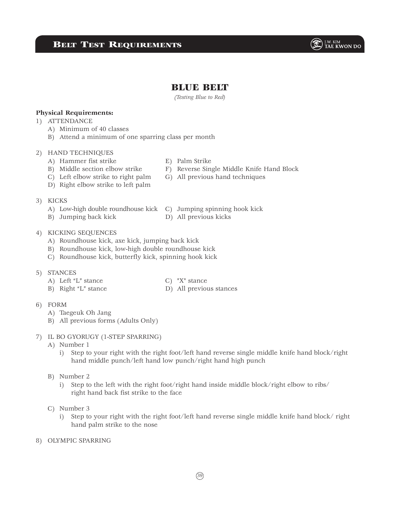# Belt Test Requirements



# BLUE BELT

*(Testing Blue to Red)*

### **Physical Requirements:**

- 1) ATTENDANCE
	- A) Minimum of 40 classes
	- B) Attend a minimum of one sparring class per month

### 2) HAND TECHNIQUES

- A) Hammer fist strike E) Palm Strike
- B) Middle section elbow strike F) Reverse Single Middle Knife Hand Block
- 
- C) Left elbow strike to right palm G) All previous hand techniques
- D) Right elbow strike to left palm
- 3) KICKS
	- A) Low-high double roundhouse kick C) Jumping spinning hook kick
	- B) Jumping back kick D) All previous kicks
- -

### 4) KICKING SEQUENCES

- A) Roundhouse kick, axe kick, jumping back kick
- B) Roundhouse kick, low-high double roundhouse kick
- C) Roundhouse kick, butterfly kick, spinning hook kick

#### 5) STANCES

- A) Left "L" stance C) "X" stance
- B) Right "L" stance D) All previous stances
- 

- 6) FORM
	- A) Taegeuk Oh Jang
	- B) All previous forms (Adults Only)
- 7) IL BO GYORUGY (1-STEP SPARRING)
	- A) Number 1
		- i) Step to your right with the right foot/left hand reverse single middle knife hand block/right hand middle punch/left hand low punch/right hand high punch
	- B) Number 2
		- i) Step to the left with the right foot/right hand inside middle block/right elbow to ribs/ right hand back fist strike to the face
	- C) Number 3
		- i) Step to your right with the right foot/left hand reverse single middle knife hand block/ right hand palm strike to the nose
- 8) OLYMPIC SPARRING

39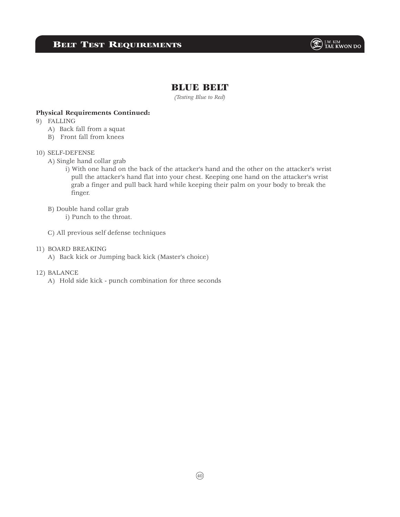## **BELT TEST REQUIREMENTS**



### BLUE BELT

*(Testing Blue to Red)*

#### **Physical Requirements Continued:**

- 9) FALLING
	- A) Back fall from a squat
	- B) Front fall from knees

#### 10) SELF-DEFENSE

- A) Single hand collar grab
	- i) With one hand on the back of the attacker's hand and the other on the attacker's wrist pull the attacker's hand flat into your chest. Keeping one hand on the attacker's wrist grab a finger and pull back hard while keeping their palm on your body to break the finger.
- B) Double hand collar grab

i) Punch to the throat.

- C) All previous self defense techniques
- 11) BOARD BREAKING
	- A) Back kick or Jumping back kick (Master's choice)
- 12) BALANCE
	- A) Hold side kick punch combination for three seconds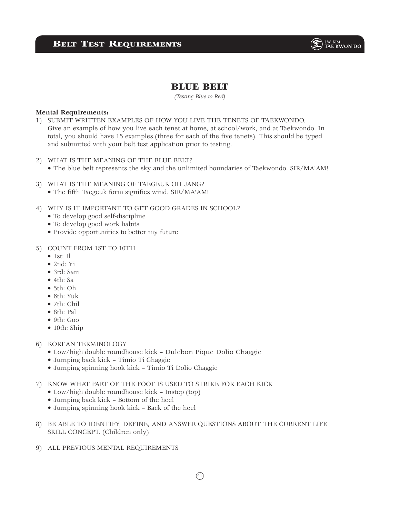

## **BLUE BELT**

*(Testing Blue to Red)*

#### **Mental Requirements:**

- 1) SUBMIT WRITTEN EXAMPLES OF HOW YOU LIVE THE TENETS OF TAEKWONDO. Give an example of how you live each tenet at home, at school/work, and at Taekwondo. In total, you should have 15 examples (three for each of the five tenets). This should be typed and submitted with your belt test application prior to testing.
- 2) WHAT IS THE MEANING OF THE BLUE BELT?
	- The blue belt represents the sky and the unlimited boundaries of Taekwondo. SIR/MA'AM!
- 3) WHAT IS THE MEANING OF TAEGEUK OH JANG?
	- The fifth Taegeuk form signifies wind. SIR/MA'AM!
- 4) WHY IS IT IMPORTANT TO GET GOOD GRADES IN SCHOOL?
	- To develop good self-discipline
	- To develop good work habits
	- Provide opportunities to better my future
- 5) COUNT FROM 1ST TO 10TH
	- $\bullet$  1st: Il
	- $\bullet$  2nd $\cdot$  Yi
	- 3rd: Sam
	- 4th: Sa
	- 5th: Oh
	- 6th: Yuk
	- 7th: Chil
	- 8th: Pal
	- 9th: Goo
	- 10th: Ship
- 6) KOREAN TERMINOLOGY
	- Low/high double roundhouse kick Dulebon Pique Dolio Chaggie
	- Jumping back kick Timio Ti Chaggie
	- Jumping spinning hook kick Timio Ti Dolio Chaggie
- 7) KNOW WHAT PART OF THE FOOT IS USED TO STRIKE FOR EACH KICK
	- Low/high double roundhouse kick Instep (top)
	- Jumping back kick Bottom of the heel
	- Jumping spinning hook kick Back of the heel
- 8) BE ABLE TO IDENTIFY, DEFINE, AND ANSWER QUESTIONS ABOUT THE CURRENT LIFE SKILL CONCEPT. (Children only)
- 9) ALL PREVIOUS MENTAL REQUIREMENTS